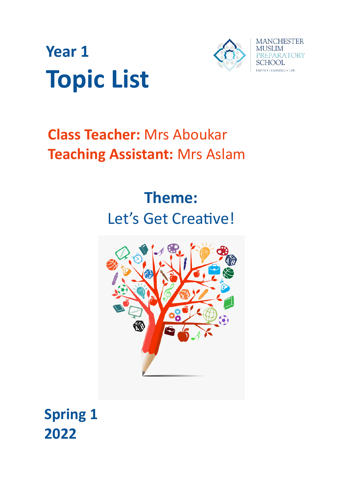



# **Class Teacher:** Mrs Aboukar **Teaching Assistant:** Mrs Aslam

# **Theme:** Let's Get Creative!



**Spring 1 2022**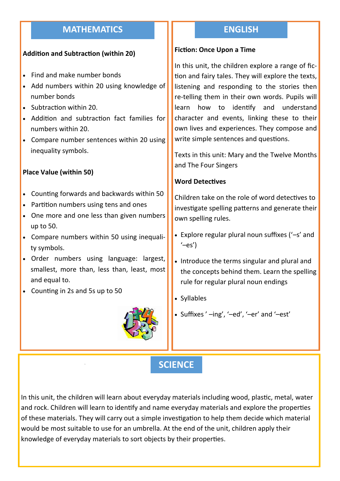# **MATHEMATICS**

### **Addition and Subtraction (within 20)**

- Find and make number bonds
- Add numbers within 20 using knowledge of number bonds
- Subtraction within 20.
- Addition and subtraction fact families for numbers within 20.
- Compare number sentences within 20 using inequality symbols.

### **Place Value (within 50)**

- Counting forwards and backwards within 50
- Partition numbers using tens and ones
- One more and one less than given numbers up to 50.
- Compare numbers within 50 using inequality symbols.
- Order numbers using language: largest, smallest, more than, less than, least, most and equal to.
- Counting in 2s and 5s up to 50



## **ENGLISH**

#### **Fiction: Once Upon a Time**

In this unit, the children explore a range of fiction and fairy tales. They will explore the texts, listening and responding to the stories then re-telling them in their own words. Pupils will learn how to identify and understand character and events, linking these to their own lives and experiences. They compose and write simple sentences and questions.

Texts in this unit: Mary and the Twelve Months and The Four Singers

#### **Word Detectives**

Children take on the role of word detectives to investigate spelling patterns and generate their own spelling rules.

- Explore regular plural noun suffixes ('–s' and  $'$ –es')
- Introduce the terms singular and plural and the concepts behind them. Learn the spelling rule for regular plural noun endings
- Syllables
- Suffixes ' –ing', '–ed', '–er' and '–est'

# **SCIENCE**

In this unit, the children will learn about everyday materials including wood, plastic, metal, water and rock. Children will learn to identify and name everyday materials and explore the properties of these materials. They will carry out a simple investigation to help them decide which material would be most suitable to use for an umbrella. At the end of the unit, children apply their knowledge of everyday materials to sort objects by their properties.